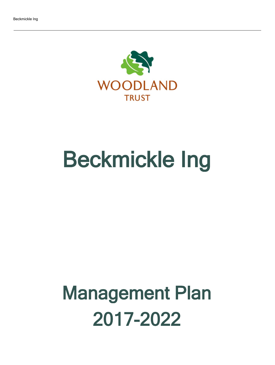

# Beckmickle Ing

## Management Plan 2017-2022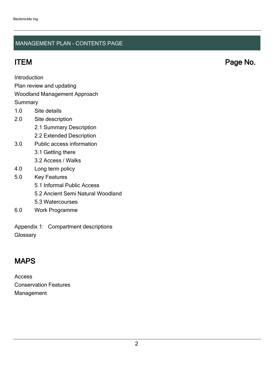### MANAGEMENT PLAN - CONTENTS PAGE

ITEM Page No.

**Introduction** 

Plan review and updating

#### Woodland Management Approach

**Summary** 

- 1.0 Site details
- 2.0 Site description
	- 2.1 Summary Description
	- 2.2 Extended Description
- 3.0 Public access information
	- 3.1 Getting there
	- 3.2 Access / Walks
- 4.0 Long term policy
- 5.0 Key Features
	- 5.1 Informal Public Access
	- 5.2 Ancient Semi Natural Woodland
	- 5.3 Watercourses
- 6.0 Work Programme

Appendix 1: Compartment descriptions **Glossary** 

## MAPS

Access Conservation Features Management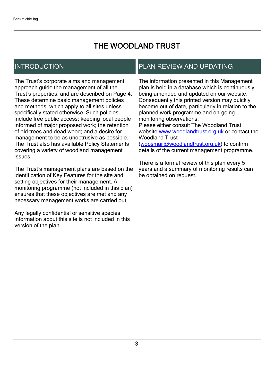## THE WOODLAND TRUST

## INTRODUCTION

The Trust's corporate aims and management approach guide the management of all the Trust's properties, and are described on Page 4. These determine basic management policies and methods, which apply to all sites unless specifically stated otherwise. Such policies include free public access; keeping local people informed of major proposed work; the retention of old trees and dead wood; and a desire for management to be as unobtrusive as possible. The Trust also has available Policy Statements covering a variety of woodland management issues.

The Trust's management plans are based on the identification of Key Features for the site and setting objectives for their management. A monitoring programme (not included in this plan) ensures that these objectives are met and any necessary management works are carried out.

Any legally confidential or sensitive species information about this site is not included in this version of the plan.

## PLAN REVIEW AND UPDATING

The information presented in this Management plan is held in a database which is continuously being amended and updated on our website. Consequently this printed version may quickly become out of date, particularly in relation to the planned work programme and on-going monitoring observations. Please either consult The Woodland Trust website [www.woodlandtrust.org.uk](http://www.woodlandtrust.org.uk/) or contact the Woodland Trust [\(wopsmail@woodlandtrust.org.uk](mailto:wopsmail@woodlandtrust.org.uk)) to confirm

details of the current management programme.

There is a formal review of this plan every 5 years and a summary of monitoring results can be obtained on request.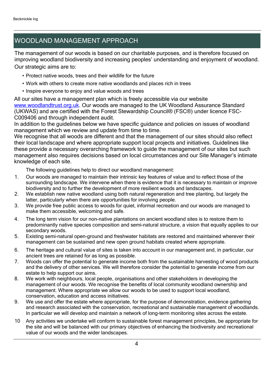## WOODLAND MANAGEMENT APPROACH

The management of our woods is based on our charitable purposes, and is therefore focused on improving woodland biodiversity and increasing peoples' understanding and enjoyment of woodland. Our strategic aims are to:

- Protect native woods, trees and their wildlife for the future
- Work with others to create more native woodlands and places rich in trees
- Inspire everyone to enjoy and value woods and trees

All our sites have a management plan which is freely accessible via our website [www.woodlandtrust.org.uk.](http://www.woodlandtrust.org.uk/) Our woods are managed to the UK Woodland Assurance Standard (UKWAS) and are certified with the Forest Stewardship Council® (FSC®) under licence FSC-C009406 and through independent audit.

In addition to the guidelines below we have specific guidance and policies on issues of woodland management which we review and update from time to time.

We recognise that all woods are different and that the management of our sites should also reflect their local landscape and where appropriate support local projects and initiatives. Guidelines like these provide a necessary overarching framework to guide the management of our sites but such management also requires decisions based on local circumstances and our Site Manager's intimate knowledge of each site.

The following guidelines help to direct our woodland management:

- 1. Our woods are managed to maintain their intrinsic key features of value and to reflect those of the surrounding landscape. We intervene when there is evidence that it is necessary to maintain or improve biodiversity and to further the development of more resilient woods and landscapes.
- 2. We establish new native woodland using both natural regeneration and tree planting, but largely the latter, particularly when there are opportunities for involving people.
- 3. We provide free public access to woods for quiet, informal recreation and our woods are managed to make them accessible, welcoming and safe.
- 4. The long term vision for our non-native plantations on ancient woodland sites is to restore them to predominantly native species composition and semi-natural structure, a vision that equally applies to our secondary woods.
- 5. Existing semi-natural open-ground and freshwater habitats are restored and maintained wherever their management can be sustained and new open ground habitats created where appropriate.
- 6. The heritage and cultural value of sites is taken into account in our management and, in particular, our ancient trees are retained for as long as possible.
- 7. Woods can offer the potential to generate income both from the sustainable harvesting of wood products and the delivery of other services. We will therefore consider the potential to generate income from our estate to help support our aims.
- 8. We work with neighbours, local people, organisations and other stakeholders in developing the management of our woods. We recognise the benefits of local community woodland ownership and management. Where appropriate we allow our woods to be used to support local woodland, conservation, education and access initiatives.
- 9. We use and offer the estate where appropriate, for the purpose of demonstration, evidence gathering and research associated with the conservation, recreational and sustainable management of woodlands. In particular we will develop and maintain a network of long-term monitoring sites across the estate.
- 10 Any activities we undertake will conform to sustainable forest management principles, be appropriate for the site and will be balanced with our primary objectives of enhancing the biodiversity and recreational value of our woods and the wider landscapes.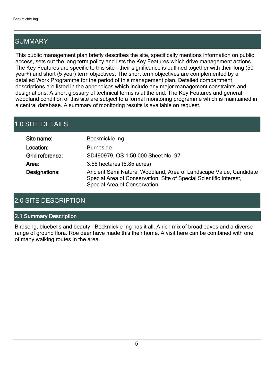## SUMMARY

This public management plan briefly describes the site, specifically mentions information on public access, sets out the long term policy and lists the Key Features which drive management actions. The Key Features are specific to this site - their significance is outlined together with their long (50 year+) and short (5 year) term objectives. The short term objectives are complemented by a detailed Work Programme for the period of this management plan. Detailed compartment descriptions are listed in the appendices which include any major management constraints and designations. A short glossary of technical terms is at the end. The Key Features and general woodland condition of this site are subject to a formal monitoring programme which is maintained in a central database. A summary of monitoring results is available on request.

## 1.0 SITE DETAILS

| Site name:      | Beckmickle Ing                                                                                                                                                          |
|-----------------|-------------------------------------------------------------------------------------------------------------------------------------------------------------------------|
| Location:       | <b>Burneside</b>                                                                                                                                                        |
| Grid reference: | SD490979, OS 1:50,000 Sheet No. 97                                                                                                                                      |
| Area:           | 3.58 hectares (8.85 acres)                                                                                                                                              |
| Designations:   | Ancient Semi Natural Woodland, Area of Landscape Value, Candidate<br>Special Area of Conservation, Site of Special Scientific Interest,<br>Special Area of Conservation |

## 2.0 SITE DESCRIPTION

#### 2.1 Summary Description

Birdsong, bluebells and beauty - Beckmickle Ing has it all. A rich mix of broadleaves and a diverse range of ground flora. Roe deer have made this their home. A visit here can be combined with one of many walking routes in the area.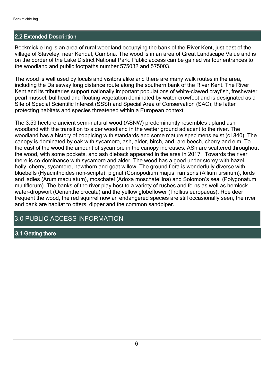#### 2.2 Extended Description

Beckmickle Ing is an area of rural woodland occupying the bank of the River Kent, just east of the village of Staveley, near Kendal, Cumbria. The wood is in an area of Great Landscape Value and is on the border of the Lake District National Park. Public access can be gained via four entrances to the woodland and public footpaths number 575032 and 575003.

The wood is well used by locals and visitors alike and there are many walk routes in the area, including the Dalesway long distance route along the southern bank of the River Kent. The River Kent and its tributaries support nationally important populations of white-clawed crayfish, freshwater pearl mussel, bullhead and floating vegetation dominated by water-crowfoot and is designated as a Site of Special Scientific Interest (SSSI) and Special Area of Conservation (SAC); the latter protecting habitats and species threatened within a European context.

The 3.59 hectare ancient semi-natural wood (ASNW) predominantly resembles upland ash woodland with the transition to alder woodland in the wetter ground adjacent to the river. The woodland has a history of coppicing with standards and some mature specimens exist (c1840). The canopy is dominated by oak with sycamore, ash, alder, birch, and rare beech, cherry and elm. To the east of the wood the amount of sycamore in the canopy increases. ASh are scattered throughout the wood, with some pockets, and ash dieback appeared in the area in 2017. Towards the river there is co-dominance with sycamore and alder. The wood has a good under storey with hazel, holly, cherry, sycamore, hawthorn and goat willow. The ground flora is wonderfully diverse with bluebells (Hyacinthoides non-scripta), pignut (Conopodium majus, ramsons (Allium ursinum), lords and ladies (Arum maculatum), moschatel (Adoxa moschatellina) and Solomon's seal (Polygonatum multiflorum). The banks of the river play host to a variety of rushes and ferns as well as hemlock water-dropwort (Oenanthe crocata) and the yellow globeflower (Trollius europaeus). Roe deer frequent the wood, the red squirrel now an endangered species are still occasionally seen, the river and bank are habitat to otters, dipper and the common sandpiper.

### 3.0 PUBLIC ACCESS INFORMATION

#### 3.1 Getting there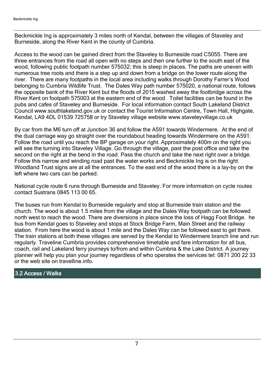Beckmickle Ing is approximately 3 miles north of Kendal, between the villages of Staveley and Burneside, along the River Kent in the county of Cumbria.

Access to the wood can be gained direct from the Staveley to Burneside road C5055. There are three entrances from the road all open with no steps and then one further to the south east of the wood, following public footpath number 575032; this is steep in places. The paths are uneven with numerous tree roots and there is a step up and down from a bridge on the lower route along the river. There are many footpaths in the local area including walks through Dorothy Farrer's Wood belonging to Cumbria Wildlife Trust. The Dales Way path number 575020, a national route, follows the opposite bank of the River Kent but the floods of 2015 washed away the footbridge across the RIver Kent on footpath 575003 at the eastern end of the wood. Toilet facilities can be found in the pubs and cafes of Staveley and Burneside. For local information contact South Lakeland District Council www.southlakeland.gov.uk or contact the Tourist Information Centre, Town Hall, Highgate, Kendal, LA9 4DL 01539 725758 or try Staveley village website www.staveleyvillage.co.uk

By car from the M6 turn off at Junction 36 and follow the A591 towards Windermere. At the end of the dual carriage way go straight over the roundabout heading towards Windermere on the A591. Follow the road until you reach the BP garage on your right. Approximately 400m on the right you will see the turning into Staveley Village. Go through the village, past the post office and take the second on the right at the bend in the road. Pass the church and take the next right over a bridge. Follow this narrow and winding road past the water works and Beckmickle Ing is on the right. Woodland Trust signs are at all the entrances. To the east end of the wood there is a lay-by on the left where two cars can be parked.

National cycle route 6 runs through Burneside and Staveley. For more information on cycle routes contact Sustrans 0845 113 00 65.

The buses run from Kendal to Burneside regularly and stop at Burneside train station and the church. The wood is about 1.5 miles from the village and the Dales Way footpath can be followed north west to reach the wood. There are diversions in place since the loss of Hagg Foot Bridge. he bus from Kendal goes to Staveley and stops at Stock Bridge Farm, Main Street and the railway station. From here the wood is about 1 mile and the Dales Way can be followed east to get there. The train stations at both these villages are served by the Kendal to Windermere branch line and run regularly. Traveline Cumbria provides comprehensive timetable and fare information for all bus, coach, rail and Lakeland ferry journeys to/from and within Cumbria & the Lake District. A journey planner will help you plan your journey regardless of who operates the services tel: 0871 200 22 33 or the web site on travelline.info.

#### 3.2 Access / Walks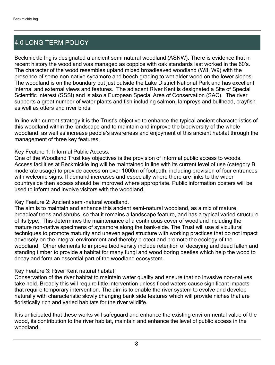## 4.0 LONG TERM POLICY

Beckmickle Ing is designated a ancient semi natural woodland (ASNW). There is evidence that in recent history the woodland was managed as coppice with oak standards last worked in the 60's. The character of the wood resembles upland mixed broadleaved woodland (W8, W9) with the presence of some non-native sycamore and beech grading to wet alder wood on the lower slopes. The woodland is on the boundary but just outside the Lake District National Park and has excellent internal and external views and features. The adjacent River Kent is designated a Site of Special Scientific Interest (SSSI) and is also a European Special Area of Conservation (SAC). The river supports a great number of water plants and fish including salmon, lampreys and bullhead, crayfish as well as otters and river birds.

In line with current strategy it is the Trust's objective to enhance the typical ancient characteristics of this woodland within the landscape and to maintain and improve the biodiversity of the whole woodland, as well as increase people's awareness and enjoyment of this ancient habitat through the management of three key features:

#### Key Feature 1: Informal Public Access.

One of the Woodland Trust key objectives is the provision of informal public access to woods. Access facilities at Beckmickle Ing will be maintained in line with its current level of use (category B moderate usage) to provide access on over 1000m of footpath, including provision of four entrances with welcome signs. If demand increases and especially where there are links to the wider countryside then access should be improved where appropriate. Public information posters will be used to inform and involve visitors with the woodland.

#### Key Feature 2: Ancient semi-natural woodland.

The aim is to maintain and enhance this ancient semi-natural woodland, as a mix of mature, broadleaf trees and shrubs, so that it remains a landscape feature, and has a typical varied structure of its type. This determines the maintenance of a continuous cover of woodland including the mature non-native specimens of sycamore along the bank-side. The Trust will use silvicultural techniques to promote maturity and uneven aged structure with working practices that do not impact adversely on the integral environment and thereby protect and promote the ecology of the woodland. Other elements to improve biodiversity include retention of decaying and dead fallen and standing timber to provide a habitat for many fungi and wood boring beetles which help the wood to decay and form an essential part of the woodland ecosystem.

#### Key Feature 3: River Kent natural habitat:

Conservation of the river habitat to maintain water quality and ensure that no invasive non-natives take hold. Broadly this will require little intervention unless flood waters cause significant impacts that require temporary intervention. The aim is to enable the river system to evolve and develop naturally with characteristic slowly changing bank side features which will provide niches that are floristically rich and varied habitats for the river wildlife.

It is anticipated that these works will safeguard and enhance the existing environmental value of the wood, its contribution to the river habitat, maintain and enhance the level of public access in the woodland.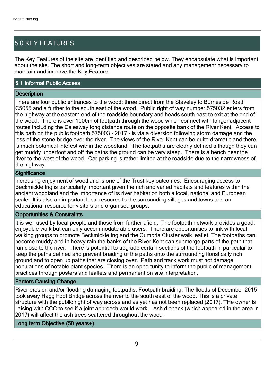## 5.0 KEY FEATURES

The Key Features of the site are identified and described below. They encapsulate what is important about the site. The short and long-term objectives are stated and any management necessary to maintain and improve the Key Feature.

#### 5.1 Informal Public Access

#### **Description**

There are four public entrances to the wood; three direct from the Staveley to Burneside Road C5055 and a further to the south east of the wood. Public right of way number 575032 enters from the highway at the eastern end of the roadside boundary and heads south east to exit at the end of the wood. There is over 1000m of footpath through the wood which connect with longer adjacent routes including the Dalesway long distance route on the opposite bank of the River Kent. Access to this path on the public footpath 575003 - 2017 - is via a diversion following storm damage and the loss of the stone bridge over the river. The views of the River Kent can be quite dramatic and there is much botanical interest within the woodland. The footpaths are clearly defined although they can get muddy underfoot and off the paths the ground can be very steep. There is a bench near the river to the west of the wood. Car parking is rather limited at the roadside due to the narrowness of the highway.

#### **Significance**

Increasing enjoyment of woodland is one of the Trust key outcomes. Encouraging access to Beckmickle Ing is particularly important given the rich and varied habitats and features within the ancient woodland and the importance of its river habitat on both a local, national and European scale. It is also an important local resource to the surrounding villages and towns and an educational resource for visitors and organised groups.

#### Opportunities & Constraints

It is well used by local people and those from further afield. The footpath network provides a good, enjoyable walk but can only accommodate able users. There are opportunities to link with local walking groups to promote Beckmickle Ing and the Cumbria Cluster walk leaflet. The footpaths can become muddy and in heavy rain the banks of the River Kent can submerge parts of the path that run close to the river. There is potential to upgrade certain sections of the footpath in particular to keep the paths defined and prevent braiding of the paths onto the surrounding floristically rich ground and to open up paths that are closing over. Path and track work must not damage populations of notable plant species. There is an opportunity to inform the public of management practices through posters and leaflets and permanent on site interpretation.

#### Factors Causing Change

River erosion and/or flooding damaging footpaths. Footpath braiding. The floods of December 2015 took away Hagg Foot Bridge across the river to the south east of the wood. This is a private structure with the public right of way across and as yet has not been replaced (2017). THe owner is liaising with CCC to see if a joint approach would work. Ash dieback (which appeared in the area in 2017) will affect the ash trees scattered throughout the wood.

Long term Objective (50 years+)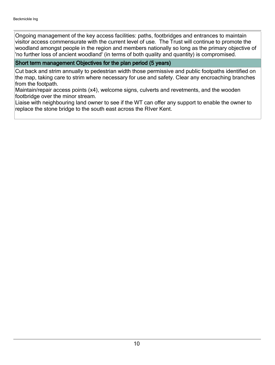Ongoing management of the key access facilities: paths, footbridges and entrances to maintain visitor access commensurate with the current level of use. The Trust will continue to promote the woodland amongst people in the region and members nationally so long as the primary objective of 'no further loss of ancient woodland' (in terms of both quality and quantity) is compromised.

#### Short term management Objectives for the plan period (5 years)

Cut back and strim annually to pedestrian width those permissive and public footpaths identified on the map, taking care to strim where necessary for use and safety. Clear any encroaching branches from the footpath.

Maintain/repair access points (x4), welcome signs, culverts and revetments, and the wooden footbridge over the minor stream.

Liaise with neighbouring land owner to see if the WT can offer any support to enable the owner to replace the stone bridge to the south east across the RIver Kent.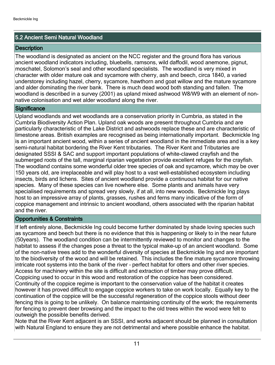#### 5.2 Ancient Semi Natural Woodland

#### **Description**

The woodland is designated as ancient on the NCC register and the ground flora has various ancient woodland indicators including, bluebells, ramsons, wild daffodil, wood anemone, pignut, moschatel, Solomon's seal and other woodland specialists. The woodland is very mixed in character with older mature oak and sycamore with cherry, ash and beech, circa 1840, a varied understorey including hazel, cherry, sycamore, hawthorn and goat willow and the mature sycamore and alder dominating the river bank. There is much dead wood both standing and fallen. The woodland is described in a survey (2001) as upland mixed ashwood W8/W9 with an element of nonnative colonisation and wet alder woodland along the river.

#### **Significance**

Upland woodlands and wet woodlands are a conservation priority in Cumbria, as stated in the Cumbria Biodiversity Action Plan. Upland oak woods are present throughout Cumbria and are particularly characteristic of the Lake District and ashwoods replace these and are characteristic of limestone areas. British examples are recognised as being internationally important. Beckmickle Ing is an important ancient wood, within a series of ancient woodland in the immediate area and is a key semi-natural habitat bordering the River Kent tributaries. The River Kent and Tributaries are designated SSSI & SAC and support important populations of white-clawed crayfish and the submerged roots of the tall, marginal riparian vegetation provide excellent refuges for the crayfish. The woodland contains some wonderful older tree species of oak and sycamore, which may be over 150 years old, are irreplaceable and will play host to a vast well-established ecosystem including insects, birds and lichens. Sites of ancient woodland provide a continuous habitat for our native species. Many of these species can live nowhere else. Some plants and animals have very specialised requirements and spread very slowly, if at all, into new woods. Beckmickle Ing plays host to an impressive array of plants, grasses, rushes and ferns many indicative of the form of coppice management and intrinsic to ancient woodland, others associated with the riparian habitat and the river.

#### Opportunities & Constraints

If left entirely alone, Beckmickle Ing could become further dominated by shade loving species such as sycamore and beech but there is no evidence that this is happening or likely to in the near future (50years). The woodland condition can be intermittently reviewed to monitor and changes to the habitat to assess if the changes pose a threat to the typical make-up of an ancient woodland. Some of the non-native trees add to the wonderful diversity of species at Beckmickle Ing and are important to the biodiversity of the wood and will be retained. This includes the fine mature sycamore throwing intricate root systems into the bank of the river - perfect habitat for otters and other river species. Access for machinery within the site is difficult and extraction of timber may prove difficult. Coppicing used to occur in this wood and restoration of the coppice has been considered. Continuity of the coppice regime is important to the conservation value of the habitat it creates however it has proved difficult to engage coppice workers to take on work locally. Equally key to the continuation of the coppice will be the successful regeneration of the coppice stools without deer fencing this is going to be unlikely. On balance maintaining continuity of the work; the requirements for fencing to prevent deer browsing and the impact to the old trees within the wood were felt to outweigh the possible benefits derived.

Note that the River Kent adjacent is an SSSI, and works adjacent should be planned in consultation with Natural England to ensure they are not detrimental and where possible enhance the habitat.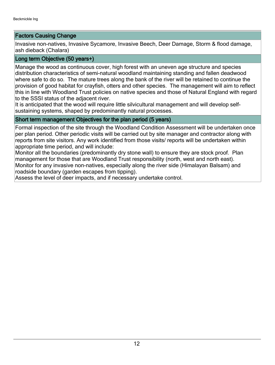#### Factors Causing Change

Invasive non-natives, Invasive Sycamore, Invasive Beech, Deer Damage, Storm & flood damage, ash dieback (Chalara)

#### Long term Objective (50 years+)

Manage the wood as continuous cover, high forest with an uneven age structure and species distribution characteristics of semi-natural woodland maintaining standing and fallen deadwood where safe to do so. The mature trees along the bank of the river will be retained to continue the provision of good habitat for crayfish, otters and other species. The management will aim to reflect this in line with Woodland Trust policies on native species and those of Natural England with regard to the SSSI status of the adjacent river.

It is anticipated that the wood will require little silvicultural management and will develop selfsustaining systems, shaped by predominantly natural processes.

#### Short term management Objectives for the plan period (5 years)

Formal inspection of the site through the Woodland Condition Assessment will be undertaken once per plan period. Other periodic visits will be carried out by site manager and contractor along with reports from site visitors. Any work identified from those visits/ reports will be undertaken within appropriate time period, and will include:

Monitor all the boundaries (predominantly dry stone wall) to ensure they are stock proof. Plan management for those that are Woodland Trust responsibility (north, west and north east). Monitor for any invasive non-natives, especially along the river side (Himalayan Balsam) and roadside boundary (garden escapes from tipping).

Assess the level of deer impacts, and if necessary undertake control.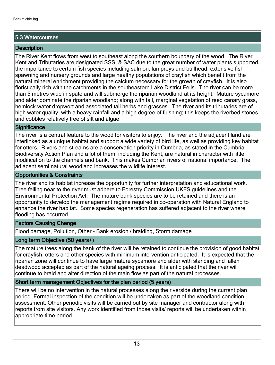#### 5.3 Watercourses

#### **Description**

The River Kent flows from west to southeast along the southern boundary of the wood. The River Kent and Tributaries are designated SSSI & SAC due to the great number of water plants supported, the importance to certain fish species including salmon, lampreys and bullhead, extensive fish spawning and nursery grounds and large healthy populations of crayfish which benefit from the natural mineral enrichment providing the calcium necessary for the growth of crayfish. It is also floristically rich with the catchments in the southeastern Lake District Fells. The river can be more than 5 metres wide in spate and will submerge the riparian woodland at its height. Mature sycamore and alder dominate the riparian woodland; along with tall, marginal vegetation of reed canary grass, hemlock water dropwort and associated tall herbs and grasses. The river and its tributaries are of high water quality, with a heavy rainfall and a high degree of flushing; this keeps the riverbed stones and cobbles relatively free of silt and algae.

#### **Significance**

The river is a central feature to the wood for visitors to enjoy. The river and the adjacent land are interlinked as a unique habitat and support a wide variety of bird life, as well as providing key habitat for otters. Rivers and streams are a conservation priority in Cumbria, as stated in the Cumbria Biodiversity Action Plan and a lot of them, including the Kent, are natural in character with little modification to the channels and bank. This makes Cumbrian rivers of national importance. The adjacent semi natural woodland increases the wildlife interest.

#### Opportunities & Constraints

The river and its habitat increase the opportunity for further interpretation and educational work. Tree felling near to the river must adhere to Forestry Commission UKFS guidelines and the Environmental Protection Act. The mature bank species are to be retained and there is an opportunity to develop the management regime required in co-operation with Natural England to enhance the river habitat. Some species regeneration has suffered adjacent to the river where flooding has occurred.

#### Factors Causing Change

Flood damage, Pollution, Other - Bank erosion / braiding, Storm damage

#### Long term Objective (50 years+)

The mature trees along the bank of the river will be retained to continue the provision of good habitat for crayfish, otters and other species with minimum intervention anticipated. It is expected that the riparian zone will continue to have large mature sycamore and alder with standing and fallen deadwood accepted as part of the natural ageing process. It is anticipated that the river will continue to braid and alter direction of the main flow as part of the natural processes.

#### Short term management Objectives for the plan period (5 years)

There will be no intervention in the natural processes along the riverside during the current plan period. Formal inspection of the condition will be undertaken as part of the woodland condition assessment. Other periodic visits will be carried out by site manager and contractor along with reports from site visitors. Any work identified from those visits/ reports will be undertaken within appropriate time period.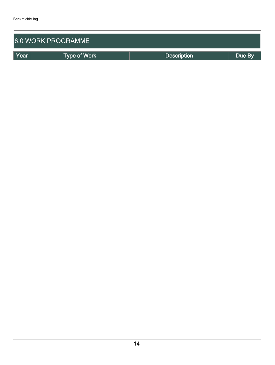| <b>6.0 WORK PROGRAMME</b> |                     |                    |        |  |  |  |  |  |
|---------------------------|---------------------|--------------------|--------|--|--|--|--|--|
| Year                      | <b>Type of Work</b> | <b>Description</b> | Due By |  |  |  |  |  |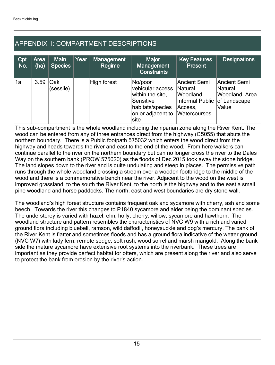## APPENDIX 1: COMPARTMENT DESCRIPTIONS

| Cpt<br>No. | Area<br>(ha) | <b>Main</b><br><b>Species</b> | Year | <b>Management</b><br>Regime | Major<br><b>Management</b><br><b>Constraints</b>                                                              | <b>Key Features</b><br>Present                                                                  | <b>Designations</b>                                       |
|------------|--------------|-------------------------------|------|-----------------------------|---------------------------------------------------------------------------------------------------------------|-------------------------------------------------------------------------------------------------|-----------------------------------------------------------|
| 1a         | 3.59         | Oak<br>(sessile)              |      | High forest                 | No/poor<br>vehicular access<br>within the site,<br>Sensitive<br>habitats/species<br>on or adjacent to<br>site | Ancient Semi<br>Natural<br>Woodland,<br>Informal Public of Landscape<br>Access,<br>Watercourses | Ancient Semi<br>Natural<br><b>Woodland, Area</b><br>Value |

This sub-compartment is the whole woodland including the riparian zone along the River Kent. The wood can be entered from any of three entrances direct from the highway (C5055) that abuts the northern boundary. There is a Public footpath 575032 which enters the wood direct from the highway and heads towards the river and east to the end of the wood. From here walkers can continue parallel to the river on the northern boundary but can no longer cross the river to the Dales Way on the southern bank (PROW 575020) as the floods of Dec 2015 took away the stone bridge. The land slopes down to the river and is quite undulating and steep in places. The permissive path runs through the whole woodland crossing a stream over a wooden footbridge to the middle of the wood and there is a commemorative bench near the river. Adjacent to the wood on the west is improved grassland, to the south the River Kent, to the north is the highway and to the east a small pine woodland and horse paddocks. The north, east and west boundaries are dry stone wall.

The woodland's high forest structure contains frequent oak and sycamore with cherry, ash and some beech. Towards the river this changes to P1840 sycamore and alder being the dominant species. The understorey is varied with hazel, elm, holly, cherry, willow, sycamore and hawthorn. The woodland structure and pattern resembles the characteristics of NVC W9 with a rich and varied ground flora including bluebell, ramson, wild daffodil, honeysuckle and dog's mercury. The bank of the River Kent is flatter and sometimes floods and has a ground flora indicative of the wetter ground (NVC W7) with lady fern, remote sedge, soft rush, wood sorrel and marsh marigold. Along the bank side the mature sycamore have extensive root systems into the riverbank. These trees are important as they provide perfect habitat for otters, which are present along the river and also serve to protect the bank from erosion by the river's action.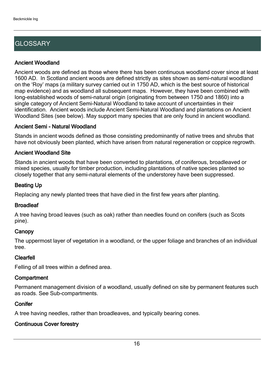## **GLOSSARY**

#### Ancient Woodland

Ancient woods are defined as those where there has been continuous woodland cover since at least 1600 AD. In Scotland ancient woods are defined strictly as sites shown as semi-natural woodland on the 'Roy' maps (a military survey carried out in 1750 AD, which is the best source of historical map evidence) and as woodland all subsequent maps. However, they have been combined with long-established woods of semi-natural origin (originating from between 1750 and 1860) into a single category of Ancient Semi-Natural Woodland to take account of uncertainties in their identification. Ancient woods include Ancient Semi-Natural Woodland and plantations on Ancient Woodland Sites (see below). May support many species that are only found in ancient woodland.

#### Ancient Semi - Natural Woodland

Stands in ancient woods defined as those consisting predominantly of native trees and shrubs that have not obviously been planted, which have arisen from natural regeneration or coppice regrowth.

#### Ancient Woodland Site

Stands in ancient woods that have been converted to plantations, of coniferous, broadleaved or mixed species, usually for timber production, including plantations of native species planted so closely together that any semi-natural elements of the understorey have been suppressed.

#### Beating Up

Replacing any newly planted trees that have died in the first few years after planting.

#### **Broadleaf**

A tree having broad leaves (such as oak) rather than needles found on conifers (such as Scots pine).

#### **Canopy**

The uppermost layer of vegetation in a woodland, or the upper foliage and branches of an individual tree.

#### Clearfell

Felling of all trees within a defined area.

#### **Compartment**

Permanent management division of a woodland, usually defined on site by permanent features such as roads. See Sub-compartments.

#### **Conifer**

A tree having needles, rather than broadleaves, and typically bearing cones.

#### Continuous Cover forestry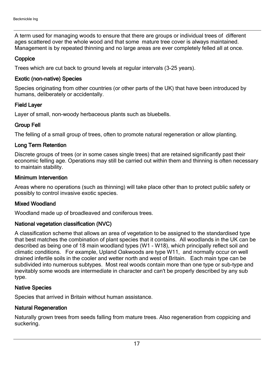A term used for managing woods to ensure that there are groups or individual trees of different ages scattered over the whole wood and that some mature tree cover is always maintained. Management is by repeated thinning and no large areas are ever completely felled all at once.

#### **Coppice**

Trees which are cut back to ground levels at regular intervals (3-25 years).

#### Exotic (non-native) Species

Species originating from other countries (or other parts of the UK) that have been introduced by humans, deliberately or accidentally.

#### Field Layer

Layer of small, non-woody herbaceous plants such as bluebells.

#### Group Fell

The felling of a small group of trees, often to promote natural regeneration or allow planting.

#### Long Term Retention

Discrete groups of trees (or in some cases single trees) that are retained significantly past their economic felling age. Operations may still be carried out within them and thinning is often necessary to maintain stability.

#### Minimum Intervention

Areas where no operations (such as thinning) will take place other than to protect public safety or possibly to control invasive exotic species.

#### Mixed Woodland

Woodland made up of broadleaved and coniferous trees.

#### National vegetation classification (NVC)

A classification scheme that allows an area of vegetation to be assigned to the standardised type that best matches the combination of plant species that it contains. All woodlands in the UK can be described as being one of 18 main woodland types (W1 - W18), which principally reflect soil and climatic conditions. For example, Upland Oakwoods are type W11, and normally occur on well drained infertile soils in the cooler and wetter north and west of Britain. Each main type can be subdivided into numerous subtypes. Most real woods contain more than one type or sub-type and inevitably some woods are intermediate in character and can't be properly described by any sub type.

#### Native Species

Species that arrived in Britain without human assistance.

#### Natural Regeneration

Naturally grown trees from seeds falling from mature trees. Also regeneration from coppicing and suckering.